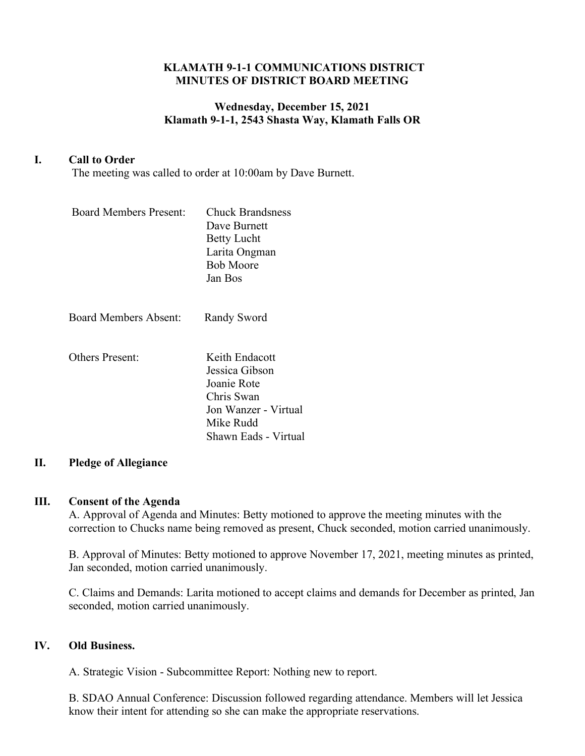## **KLAMATH 9-1-1 COMMUNICATIONS DISTRICT MINUTES OF DISTRICT BOARD MEETING**

# **Wednesday, December 15, 2021 Klamath 9-1-1, 2543 Shasta Way, Klamath Falls OR**

# **I. Call to Order**

The meeting was called to order at 10:00am by Dave Burnett.

| <b>Board Members Present:</b> | <b>Chuck Brandsness</b><br>Dave Burnett<br><b>Betty Lucht</b><br>Larita Ongman<br><b>Bob Moore</b><br>Jan Bos              |
|-------------------------------|----------------------------------------------------------------------------------------------------------------------------|
| <b>Board Members Absent:</b>  | Randy Sword                                                                                                                |
| Others Present:               | Keith Endacott<br>Jessica Gibson<br>Joanie Rote<br>Chris Swan<br>Jon Wanzer - Virtual<br>Mike Rudd<br>Shawn Eads - Virtual |

# **II. Pledge of Allegiance**

#### **III. Consent of the Agenda**

A. Approval of Agenda and Minutes: Betty motioned to approve the meeting minutes with the correction to Chucks name being removed as present, Chuck seconded, motion carried unanimously.

B. Approval of Minutes: Betty motioned to approve November 17, 2021, meeting minutes as printed, Jan seconded, motion carried unanimously.

C. Claims and Demands: Larita motioned to accept claims and demands for December as printed, Jan seconded, motion carried unanimously.

### **IV. Old Business.**

A. Strategic Vision - Subcommittee Report: Nothing new to report.

B. SDAO Annual Conference: Discussion followed regarding attendance. Members will let Jessica know their intent for attending so she can make the appropriate reservations.